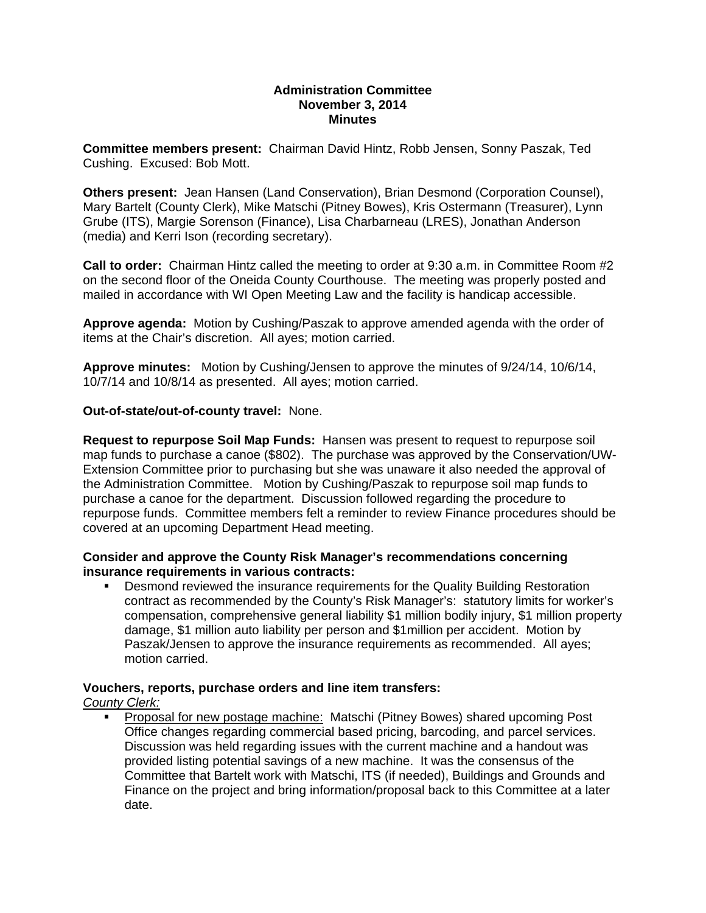### **Administration Committee November 3, 2014 Minutes**

**Committee members present:** Chairman David Hintz, Robb Jensen, Sonny Paszak, Ted Cushing. Excused: Bob Mott.

**Others present:** Jean Hansen (Land Conservation), Brian Desmond (Corporation Counsel), Mary Bartelt (County Clerk), Mike Matschi (Pitney Bowes), Kris Ostermann (Treasurer), Lynn Grube (ITS), Margie Sorenson (Finance), Lisa Charbarneau (LRES), Jonathan Anderson (media) and Kerri Ison (recording secretary).

**Call to order:** Chairman Hintz called the meeting to order at 9:30 a.m. in Committee Room #2 on the second floor of the Oneida County Courthouse. The meeting was properly posted and mailed in accordance with WI Open Meeting Law and the facility is handicap accessible.

**Approve agenda:** Motion by Cushing/Paszak to approve amended agenda with the order of items at the Chair's discretion. All ayes; motion carried.

**Approve minutes:** Motion by Cushing/Jensen to approve the minutes of 9/24/14, 10/6/14, 10/7/14 and 10/8/14 as presented. All ayes; motion carried.

### **Out-of-state/out-of-county travel:** None.

**Request to repurpose Soil Map Funds:** Hansen was present to request to repurpose soil map funds to purchase a canoe (\$802). The purchase was approved by the Conservation/UW-Extension Committee prior to purchasing but she was unaware it also needed the approval of the Administration Committee. Motion by Cushing/Paszak to repurpose soil map funds to purchase a canoe for the department. Discussion followed regarding the procedure to repurpose funds. Committee members felt a reminder to review Finance procedures should be covered at an upcoming Department Head meeting.

### **Consider and approve the County Risk Manager's recommendations concerning insurance requirements in various contracts:**

 Desmond reviewed the insurance requirements for the Quality Building Restoration contract as recommended by the County's Risk Manager's: statutory limits for worker's compensation, comprehensive general liability \$1 million bodily injury, \$1 million property damage, \$1 million auto liability per person and \$1million per accident. Motion by Paszak/Jensen to approve the insurance requirements as recommended. All ayes; motion carried.

### **Vouchers, reports, purchase orders and line item transfers:**

# *County Clerk:*

 Proposal for new postage machine: Matschi (Pitney Bowes) shared upcoming Post Office changes regarding commercial based pricing, barcoding, and parcel services. Discussion was held regarding issues with the current machine and a handout was provided listing potential savings of a new machine. It was the consensus of the Committee that Bartelt work with Matschi, ITS (if needed), Buildings and Grounds and Finance on the project and bring information/proposal back to this Committee at a later date.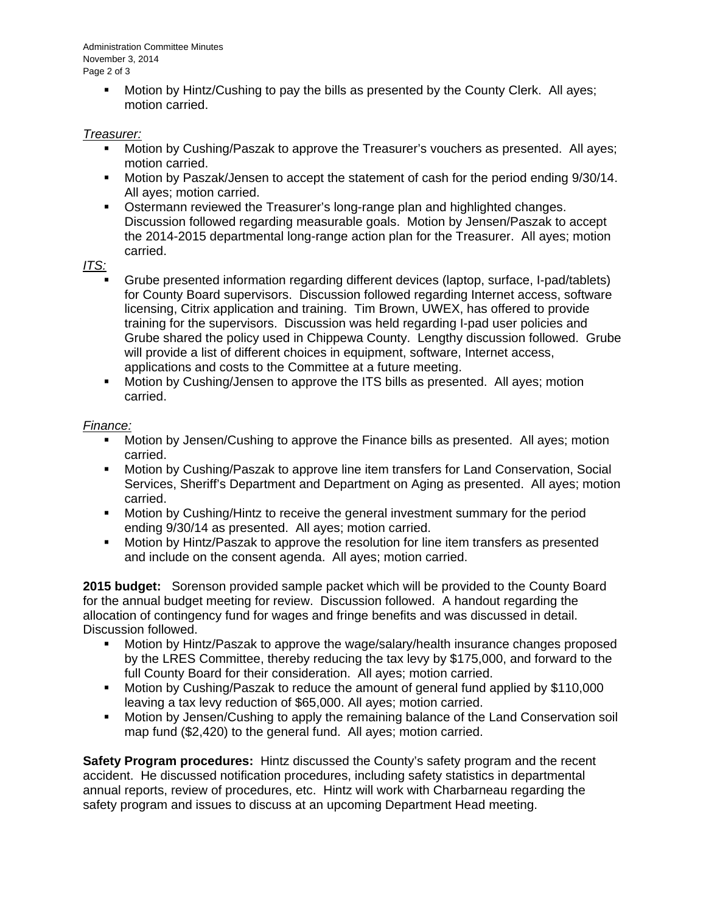Administration Committee Minutes November 3, 2014 Page 2 of 3

> Motion by Hintz/Cushing to pay the bills as presented by the County Clerk. All ayes; motion carried.

## *Treasurer:*

- Motion by Cushing/Paszak to approve the Treasurer's vouchers as presented. All ayes; motion carried.
- **Motion by Paszak/Jensen to accept the statement of cash for the period ending 9/30/14.** All ayes; motion carried.
- **SALA** Ostermann reviewed the Treasurer's long-range plan and highlighted changes. Discussion followed regarding measurable goals. Motion by Jensen/Paszak to accept the 2014-2015 departmental long-range action plan for the Treasurer. All ayes; motion carried.

*ITS:*

- Grube presented information regarding different devices (laptop, surface, I-pad/tablets) for County Board supervisors. Discussion followed regarding Internet access, software licensing, Citrix application and training. Tim Brown, UWEX, has offered to provide training for the supervisors. Discussion was held regarding I-pad user policies and Grube shared the policy used in Chippewa County. Lengthy discussion followed. Grube will provide a list of different choices in equipment, software, Internet access, applications and costs to the Committee at a future meeting.
- Motion by Cushing/Jensen to approve the ITS bills as presented. All ayes; motion carried.

## *Finance:*

- Motion by Jensen/Cushing to approve the Finance bills as presented. All ayes; motion carried.
- Motion by Cushing/Paszak to approve line item transfers for Land Conservation, Social Services, Sheriff's Department and Department on Aging as presented. All ayes; motion carried.
- **Motion by Cushing/Hintz to receive the general investment summary for the period** ending 9/30/14 as presented. All ayes; motion carried.
- Motion by Hintz/Paszak to approve the resolution for line item transfers as presented and include on the consent agenda. All ayes; motion carried.

**2015 budget:** Sorenson provided sample packet which will be provided to the County Board for the annual budget meeting for review. Discussion followed. A handout regarding the allocation of contingency fund for wages and fringe benefits and was discussed in detail. Discussion followed.

- Motion by Hintz/Paszak to approve the wage/salary/health insurance changes proposed by the LRES Committee, thereby reducing the tax levy by \$175,000, and forward to the full County Board for their consideration. All ayes; motion carried.
- Motion by Cushing/Paszak to reduce the amount of general fund applied by \$110,000 leaving a tax levy reduction of \$65,000. All ayes; motion carried.
- Motion by Jensen/Cushing to apply the remaining balance of the Land Conservation soil map fund (\$2,420) to the general fund. All ayes; motion carried.

**Safety Program procedures:** Hintz discussed the County's safety program and the recent accident. He discussed notification procedures, including safety statistics in departmental annual reports, review of procedures, etc. Hintz will work with Charbarneau regarding the safety program and issues to discuss at an upcoming Department Head meeting.